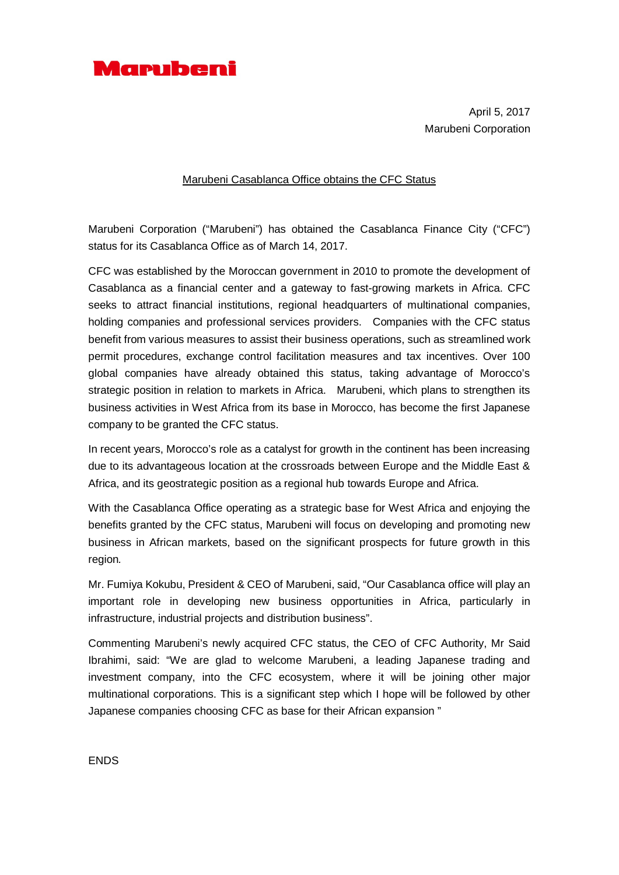

April 5, 2017 Marubeni Corporation

## Marubeni Casablanca Office obtains the CFC Status

Marubeni Corporation ("Marubeni") has obtained the Casablanca Finance City ("CFC") status for its Casablanca Office as of March 14, 2017.

CFC was established by the Moroccan government in 2010 to promote the development of Casablanca as a financial center and a gateway to fast-growing markets in Africa. CFC seeks to attract financial institutions, regional headquarters of multinational companies, holding companies and professional services providers. Companies with the CFC status benefit from various measures to assist their business operations, such as streamlined work permit procedures, exchange control facilitation measures and tax incentives. Over 100 global companies have already obtained this status, taking advantage of Morocco's strategic position in relation to markets in Africa. Marubeni, which plans to strengthen its business activities in West Africa from its base in Morocco, has become the first Japanese company to be granted the CFC status.

In recent years, Morocco's role as a catalyst for growth in the continent has been increasing due to its advantageous location at the crossroads between Europe and the Middle East & Africa, and its geostrategic position as a regional hub towards Europe and Africa.

With the Casablanca Office operating as a strategic base for West Africa and enjoying the benefits granted by the CFC status, Marubeni will focus on developing and promoting new business in African markets, based on the significant prospects for future growth in this region*.*

Mr. Fumiya Kokubu, President & CEO of Marubeni, said, "Our Casablanca office will play an important role in developing new business opportunities in Africa, particularly in infrastructure, industrial projects and distribution business".

Commenting Marubeni's newly acquired CFC status, the CEO of CFC Authority, Mr Said Ibrahimi, said: "We are glad to welcome Marubeni, a leading Japanese trading and investment company, into the CFC ecosystem, where it will be joining other major multinational corporations. This is a significant step which I hope will be followed by other Japanese companies choosing CFC as base for their African expansion "